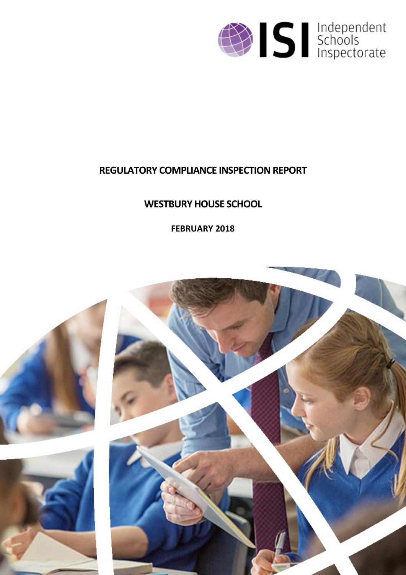

# **REGULATORY COMPLIANCE INSPECTION REPORT**

# **WESTBURY HOUSE SCHOOL**

**FEBRUARY 2018**

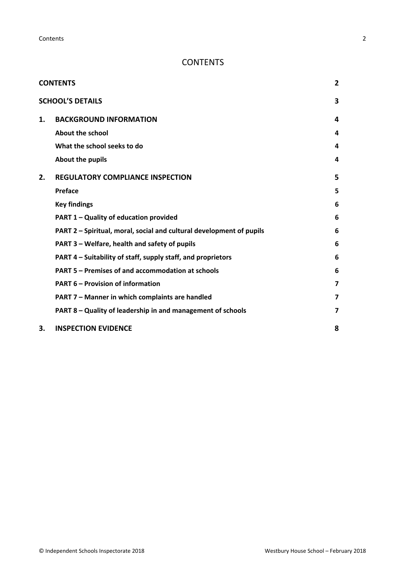## <span id="page-1-0"></span>**CONTENTS**

|    | <b>CONTENTS</b>                                                      | $\overline{2}$ |
|----|----------------------------------------------------------------------|----------------|
|    | <b>SCHOOL'S DETAILS</b>                                              | 3              |
| 1. | <b>BACKGROUND INFORMATION</b>                                        | 4              |
|    | <b>About the school</b>                                              | 4              |
|    | What the school seeks to do                                          | 4              |
|    | About the pupils                                                     | 4              |
| 2. | <b>REGULATORY COMPLIANCE INSPECTION</b>                              | 5              |
|    | Preface                                                              | 5              |
|    | <b>Key findings</b>                                                  | 6              |
|    | PART 1 - Quality of education provided                               | 6              |
|    | PART 2 - Spiritual, moral, social and cultural development of pupils | 6              |
|    | PART 3 - Welfare, health and safety of pupils                        | 6              |
|    | PART 4 – Suitability of staff, supply staff, and proprietors         | 6              |
|    | PART 5 - Premises of and accommodation at schools                    | 6              |
|    | <b>PART 6 - Provision of information</b>                             | 7              |
|    | PART 7 - Manner in which complaints are handled                      | 7              |
|    | PART 8 – Quality of leadership in and management of schools          | 7              |
| 3. | <b>INSPECTION EVIDENCE</b>                                           | 8              |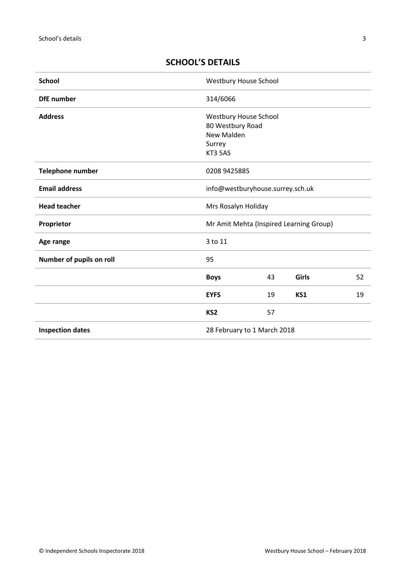| <b>School</b>            | <b>Westbury House School</b>                                                 |    |       |    |
|--------------------------|------------------------------------------------------------------------------|----|-------|----|
| <b>DfE</b> number        | 314/6066                                                                     |    |       |    |
| <b>Address</b>           | Westbury House School<br>80 Westbury Road<br>New Malden<br>Surrey<br>KT3 5AS |    |       |    |
| <b>Telephone number</b>  | 0208 9425885                                                                 |    |       |    |
| <b>Email address</b>     | info@westburyhouse.surrey.sch.uk                                             |    |       |    |
| <b>Head teacher</b>      | Mrs Rosalyn Holiday                                                          |    |       |    |
| Proprietor               | Mr Amit Mehta (Inspired Learning Group)                                      |    |       |    |
| Age range                | 3 to 11                                                                      |    |       |    |
| Number of pupils on roll | 95                                                                           |    |       |    |
|                          | <b>Boys</b>                                                                  | 43 | Girls | 52 |
|                          | <b>EYFS</b>                                                                  | 19 | KS1   | 19 |
|                          | KS <sub>2</sub>                                                              | 57 |       |    |
| <b>Inspection dates</b>  | 28 February to 1 March 2018                                                  |    |       |    |

## <span id="page-2-0"></span>**SCHOOL'S DETAILS**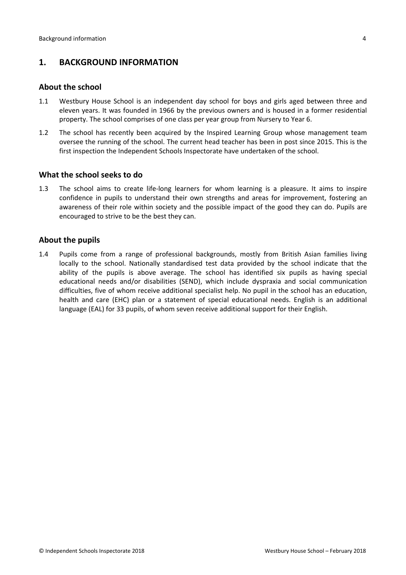## <span id="page-3-0"></span>**1. BACKGROUND INFORMATION**

#### <span id="page-3-1"></span>**About the school**

- 1.1 Westbury House School is an independent day school for boys and girls aged between three and eleven years. It was founded in 1966 by the previous owners and is housed in a former residential property. The school comprises of one class per year group from Nursery to Year 6.
- 1.2 The school has recently been acquired by the Inspired Learning Group whose management team oversee the running of the school. The current head teacher has been in post since 2015. This is the first inspection the Independent Schools Inspectorate have undertaken of the school.

#### <span id="page-3-2"></span>**What the school seeks to do**

1.3 The school aims to create life-long learners for whom learning is a pleasure. It aims to inspire confidence in pupils to understand their own strengths and areas for improvement, fostering an awareness of their role within society and the possible impact of the good they can do. Pupils are encouraged to strive to be the best they can.

#### <span id="page-3-3"></span>**About the pupils**

1.4 Pupils come from a range of professional backgrounds, mostly from British Asian families living locally to the school. Nationally standardised test data provided by the school indicate that the ability of the pupils is above average. The school has identified six pupils as having special educational needs and/or disabilities (SEND), which include dyspraxia and social communication difficulties, five of whom receive additional specialist help. No pupil in the school has an education, health and care (EHC) plan or a statement of special educational needs. English is an additional language (EAL) for 33 pupils, of whom seven receive additional support for their English.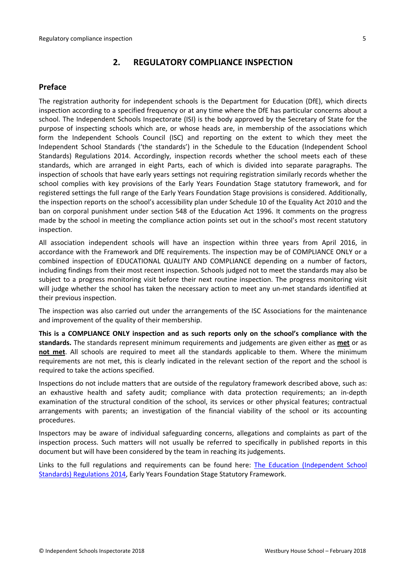## <span id="page-4-0"></span>**2. REGULATORY COMPLIANCE INSPECTION**

## <span id="page-4-1"></span>**Preface**

The registration authority for independent schools is the Department for Education (DfE), which directs inspection according to a specified frequency or at any time where the DfE has particular concerns about a school. The Independent Schools Inspectorate (ISI) is the body approved by the Secretary of State for the purpose of inspecting schools which are, or whose heads are, in membership of the associations which form the Independent Schools Council (ISC) and reporting on the extent to which they meet the Independent School Standards ('the standards') in the Schedule to the Education (Independent School Standards) Regulations 2014. Accordingly, inspection records whether the school meets each of these standards, which are arranged in eight Parts, each of which is divided into separate paragraphs. The inspection of schools that have early years settings not requiring registration similarly records whether the school complies with key provisions of the Early Years Foundation Stage statutory framework, and for registered settings the full range of the Early Years Foundation Stage provisions is considered. Additionally, the inspection reports on the school's accessibility plan under Schedule 10 of the Equality Act 2010 and the ban on corporal punishment under section 548 of the Education Act 1996. It comments on the progress made by the school in meeting the compliance action points set out in the school's most recent statutory inspection.

All association independent schools will have an inspection within three years from April 2016, in accordance with the Framework and DfE requirements. The inspection may be of COMPLIANCE ONLY or a combined inspection of EDUCATIONAL QUALITY AND COMPLIANCE depending on a number of factors, including findings from their most recent inspection. Schools judged not to meet the standards may also be subject to a progress monitoring visit before their next routine inspection. The progress monitoring visit will judge whether the school has taken the necessary action to meet any un-met standards identified at their previous inspection.

The inspection was also carried out under the arrangements of the ISC Associations for the maintenance and improvement of the quality of their membership.

**This is a COMPLIANCE ONLY inspection and as such reports only on the school's compliance with the standards.** The standards represent minimum requirements and judgements are given either as **met** or as **not met**. All schools are required to meet all the standards applicable to them. Where the minimum requirements are not met, this is clearly indicated in the relevant section of the report and the school is required to take the actions specified.

Inspections do not include matters that are outside of the regulatory framework described above, such as: an exhaustive health and safety audit; compliance with data protection requirements; an in-depth examination of the structural condition of the school, its services or other physical features; contractual arrangements with parents; an investigation of the financial viability of the school or its accounting procedures.

Inspectors may be aware of individual safeguarding concerns, allegations and complaints as part of the inspection process. Such matters will not usually be referred to specifically in published reports in this document but will have been considered by the team in reaching its judgements.

Links to the full regulations and requirements can be found here: The Education [\(Independent](http://www.legislation.gov.uk/uksi/2014/3283/contents/made) School Standards) [Regulations](http://www.legislation.gov.uk/uksi/2014/3283/contents/made) 2014, Early Years Foundation Stage Statutory [Framework.](https://www.gov.uk/government/publications/early-years-foundation-stage-framework--2)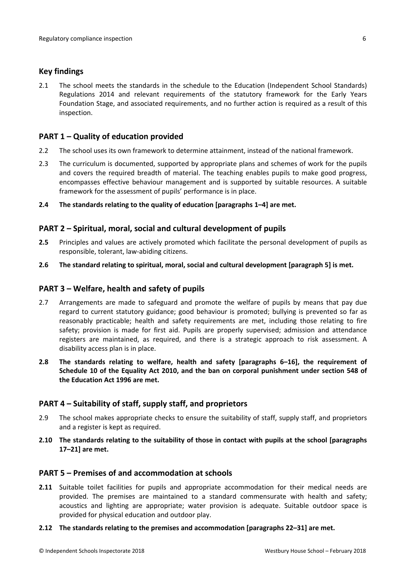#### <span id="page-5-0"></span>**Key findings**

2.1 The school meets the standards in the schedule to the Education (Independent School Standards) Regulations 2014 and relevant requirements of the statutory framework for the Early Years Foundation Stage, and associated requirements, and no further action is required as a result of this inspection.

### <span id="page-5-1"></span>**PART 1 – Quality of education provided**

- 2.2 The school uses its own framework to determine attainment, instead of the national framework.
- 2.3 The curriculum is documented, supported by appropriate plans and schemes of work for the pupils and covers the required breadth of material. The teaching enables pupils to make good progress, encompasses effective behaviour management and is supported by suitable resources. A suitable framework for the assessment of pupils' performance is in place.
- **2.4 The standards relating to the quality of education [paragraphs 1–4] are met.**

#### <span id="page-5-2"></span>**PART 2 – Spiritual, moral, social and cultural development of pupils**

- **2.5** Principles and values are actively promoted which facilitate the personal development of pupils as responsible, tolerant, law-abiding citizens.
- **2.6 The standard relating to spiritual, moral, social and cultural development [paragraph 5] is met.**

#### <span id="page-5-3"></span>**PART 3 – Welfare, health and safety of pupils**

- 2.7 Arrangements are made to safeguard and promote the welfare of pupils by means that pay due regard to current statutory guidance; good behaviour is promoted; bullying is prevented so far as reasonably practicable; health and safety requirements are met, including those relating to fire safety; provision is made for first aid. Pupils are properly supervised; admission and attendance registers are maintained, as required, and there is a strategic approach to risk assessment. A disability access plan is in place.
- **2.8 The standards relating to welfare, health and safety [paragraphs 6–16], the requirement of Schedule 10 of the Equality Act 2010, and the ban on corporal punishment under section 548 of the Education Act 1996 are met.**

### <span id="page-5-4"></span>**PART 4 – Suitability of staff, supply staff, and proprietors**

- 2.9 The school makes appropriate checks to ensure the suitability of staff, supply staff, and proprietors and a register is kept as required.
- **2.10 The standards relating to the suitability of those in contact with pupils at the school [paragraphs 17–21] are met.**

#### <span id="page-5-5"></span>**PART 5 – Premises of and accommodation at schools**

**2.11** Suitable toilet facilities for pupils and appropriate accommodation for their medical needs are provided. The premises are maintained to a standard commensurate with health and safety; acoustics and lighting are appropriate; water provision is adequate. Suitable outdoor space is provided for physical education and outdoor play.

#### **2.12 The standards relating to the premises and accommodation [paragraphs 22–31] are met.**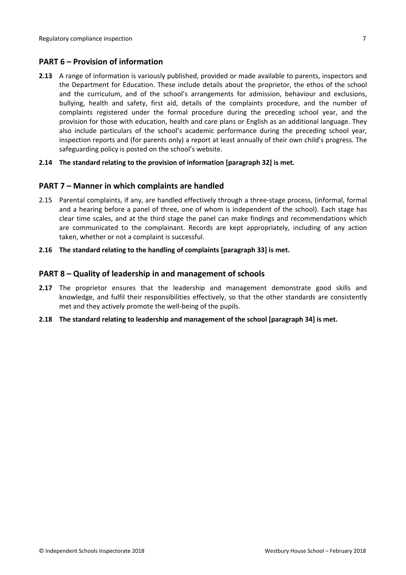## <span id="page-6-0"></span>**PART 6 – Provision of information**

**2.13** A range of information is variously published, provided or made available to parents, inspectors and the Department for Education. These include details about the proprietor, the ethos of the school and the curriculum, and of the school's arrangements for admission, behaviour and exclusions, bullying, health and safety, first aid, details of the complaints procedure, and the number of complaints registered under the formal procedure during the preceding school year, and the provision for those with education, health and care plans or English as an additional language. They also include particulars of the school's academic performance during the preceding school year, inspection reports and (for parents only) a report at least annually of their own child's progress. The safeguarding policy is posted on the school's website.

#### **2.14 The standard relating to the provision of information [paragraph 32] is met.**

#### <span id="page-6-1"></span>**PART 7 – Manner in which complaints are handled**

- 2.15 Parental complaints, if any, are handled effectively through a three-stage process, (informal, formal and a hearing before a panel of three, one of whom is independent of the school). Each stage has clear time scales, and at the third stage the panel can make findings and recommendations which are communicated to the complainant. Records are kept appropriately, including of any action taken, whether or not a complaint is successful.
- **2.16 The standard relating to the handling of complaints [paragraph 33] is met.**

#### <span id="page-6-2"></span>**PART 8 – Quality of leadership in and management of schools**

- **2.17** The proprietor ensures that the leadership and management demonstrate good skills and knowledge, and fulfil their responsibilities effectively, so that the other standards are consistently met and they actively promote the well-being of the pupils.
- **2.18 The standard relating to leadership and management of the school [paragraph 34] is met.**